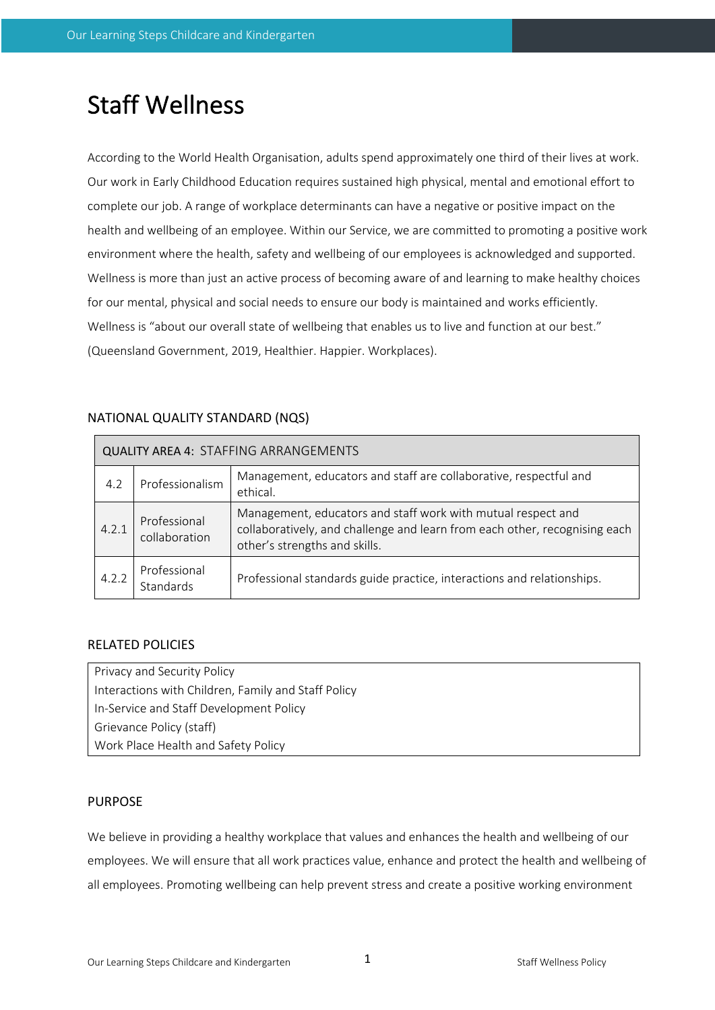# Staff Wellness

According to the World Health Organisation, adults spend approximately one third of their lives at work. Our work in Early Childhood Education requires sustained high physical, mental and emotional effort to complete our job. A range of workplace determinants can have a negative or positive impact on the health and wellbeing of an employee. Within our Service, we are committed to promoting a positive work environment where the health, safety and wellbeing of our employees is acknowledged and supported. Wellness is more than just an active process of becoming aware of and learning to make healthy choices for our mental, physical and social needs to ensure our body is maintained and works efficiently. Wellness is "about our overall state of wellbeing that enables us to live and function at our best." (Queensland Government, 2019, Healthier. Happier. Workplaces).

| <b>QUALITY AREA 4: STAFFING ARRANGEMENTS</b> |                               |                                                                                                                                                                             |  |  |  |
|----------------------------------------------|-------------------------------|-----------------------------------------------------------------------------------------------------------------------------------------------------------------------------|--|--|--|
| 4.2                                          | Professionalism               | Management, educators and staff are collaborative, respectful and<br>ethical.                                                                                               |  |  |  |
| 4.2.1                                        | Professional<br>collaboration | Management, educators and staff work with mutual respect and<br>collaboratively, and challenge and learn from each other, recognising each<br>other's strengths and skills. |  |  |  |
| 4.2.2                                        | Professional<br>Standards     | Professional standards guide practice, interactions and relationships.                                                                                                      |  |  |  |

# NATIONAL QUALITY STANDARD (NQS)

# RELATED POLICIES

Privacy and Security Policy Interactions with Children, Family and Staff Policy In-Service and Staff Development Policy Grievance Policy (staff) Work Place Health and Safety Policy

# PURPOSE

We believe in providing a healthy workplace that values and enhances the health and wellbeing of our employees. We will ensure that all work practices value, enhance and protect the health and wellbeing of all employees. Promoting wellbeing can help prevent stress and create a positive working environment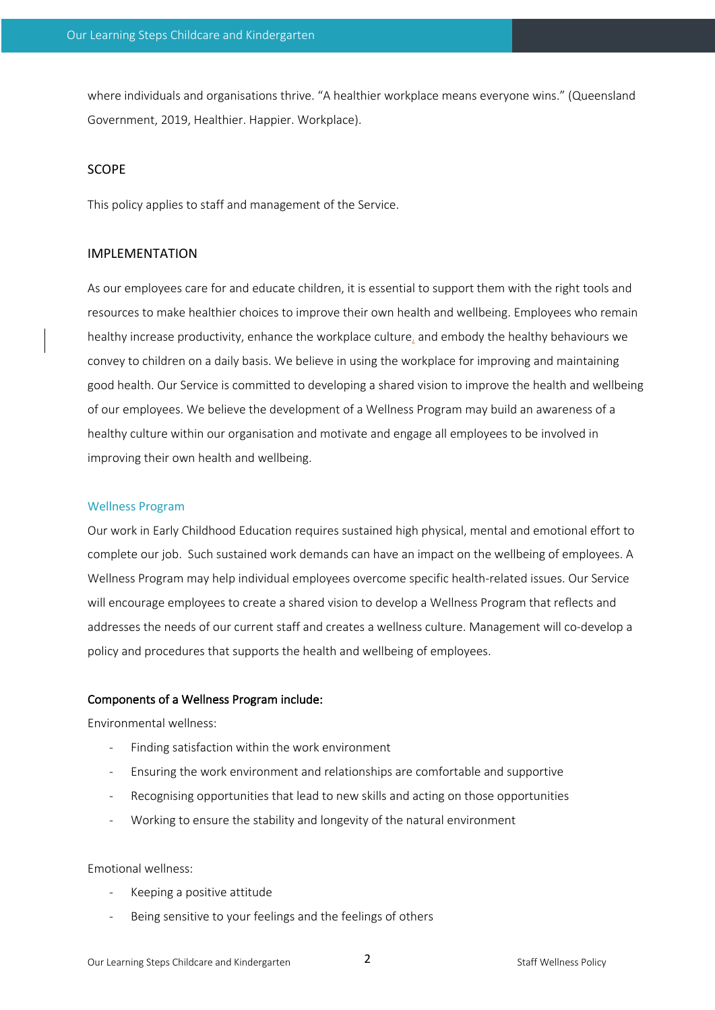where individuals and organisations thrive. "A healthier workplace means everyone wins." (Queensland Government, 2019, Healthier. Happier. Workplace).

#### SCOPE

This policy applies to staff and management of the Service.

#### IMPLEMENTATION

As our employees care for and educate children, it is essential to support them with the right tools and resources to make healthier choices to improve their own health and wellbeing. Employees who remain healthy increase productivity, enhance the workplace culture, and embody the healthy behaviours we convey to children on a daily basis. We believe in using the workplace for improving and maintaining good health. Our Service is committed to developing a shared vision to improve the health and wellbeing of our employees. We believe the development of a Wellness Program may build an awareness of a healthy culture within our organisation and motivate and engage all employees to be involved in improving their own health and wellbeing.

#### Wellness Program

Our work in Early Childhood Education requires sustained high physical, mental and emotional effort to complete our job. Such sustained work demands can have an impact on the wellbeing of employees. A Wellness Program may help individual employees overcome specific health-related issues. Our Service will encourage employees to create a shared vision to develop a Wellness Program that reflects and addresses the needs of our current staff and creates a wellness culture. Management will co-develop a policy and procedures that supports the health and wellbeing of employees.

#### Components of a Wellness Program include:

Environmental wellness:

- Finding satisfaction within the work environment
- Ensuring the work environment and relationships are comfortable and supportive
- Recognising opportunities that lead to new skills and acting on those opportunities
- Working to ensure the stability and longevity of the natural environment

#### Emotional wellness:

- Keeping a positive attitude
- Being sensitive to your feelings and the feelings of others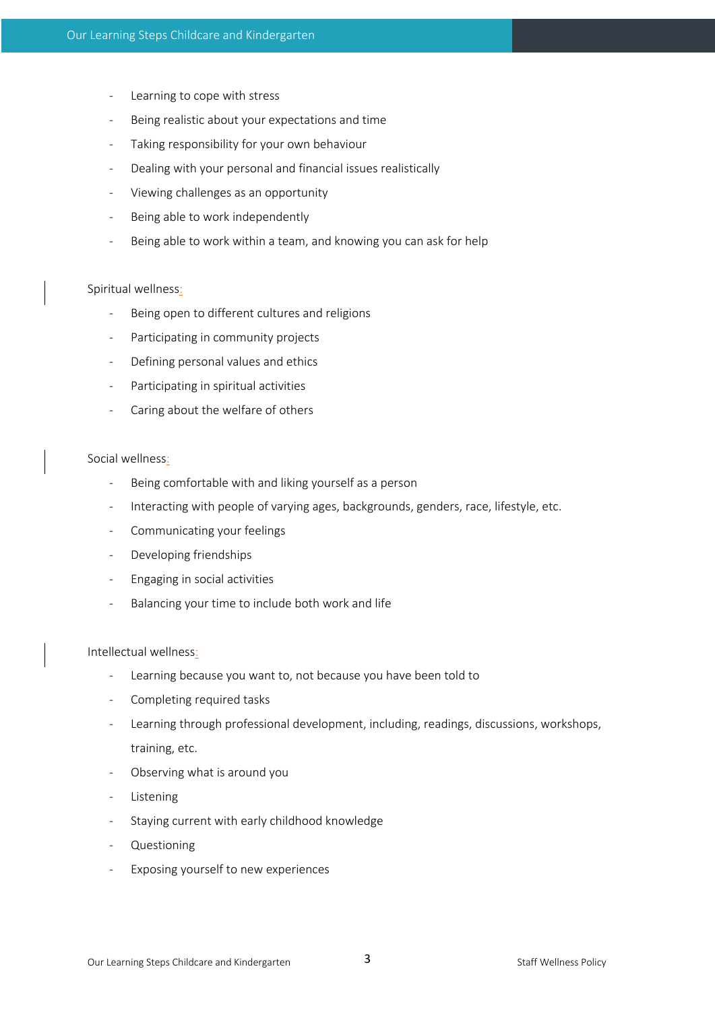- Learning to cope with stress
- Being realistic about your expectations and time
- Taking responsibility for your own behaviour
- Dealing with your personal and financial issues realistically
- Viewing challenges as an opportunity
- Being able to work independently
- Being able to work within a team, and knowing you can ask for help

## Spiritual wellness:

- Being open to different cultures and religions
- Participating in community projects
- Defining personal values and ethics
- Participating in spiritual activities
- Caring about the welfare of others

## Social wellness:

- Being comfortable with and liking yourself as a person
- Interacting with people of varying ages, backgrounds, genders, race, lifestyle, etc.
- Communicating your feelings
- Developing friendships
- Engaging in social activities
- Balancing your time to include both work and life

## Intellectual wellness:

- Learning because you want to, not because you have been told to
- Completing required tasks
- Learning through professional development, including, readings, discussions, workshops, training, etc.
- Observing what is around you
- Listening
- Staying current with early childhood knowledge
- **Questioning**
- Exposing yourself to new experiences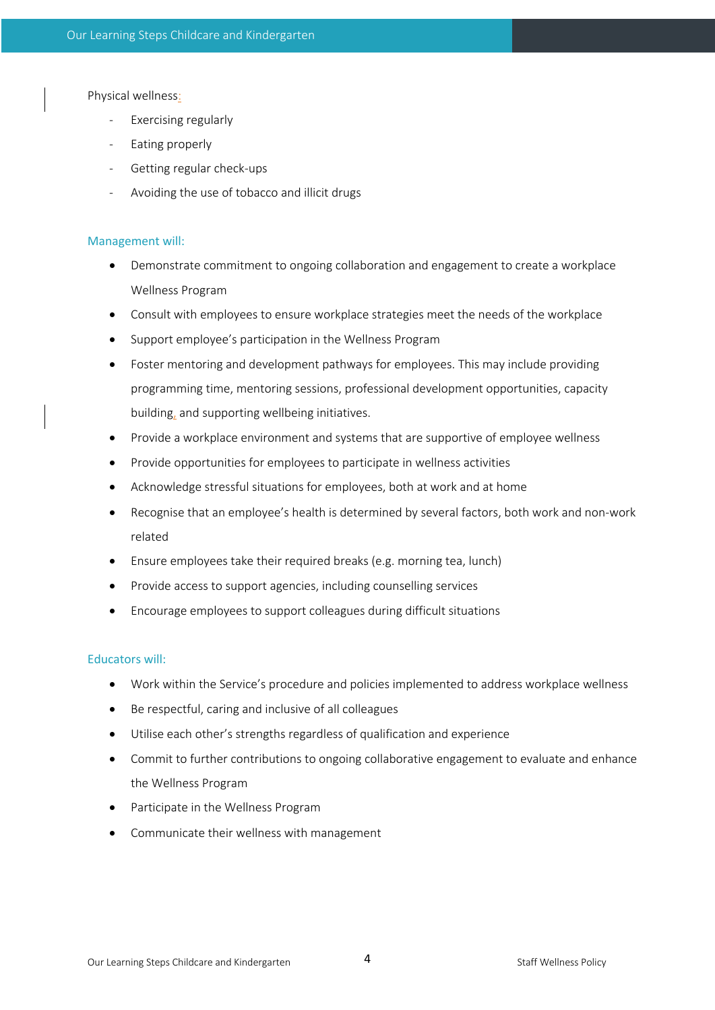Physical wellness:

- Exercising regularly
- Eating properly
- Getting regular check-ups
- Avoiding the use of tobacco and illicit drugs

## Management will:

- Demonstrate commitment to ongoing collaboration and engagement to create a workplace Wellness Program
- Consult with employees to ensure workplace strategies meet the needs of the workplace
- Support employee's participation in the Wellness Program
- Foster mentoring and development pathways for employees. This may include providing programming time, mentoring sessions, professional development opportunities, capacity building, and supporting wellbeing initiatives.
- Provide a workplace environment and systems that are supportive of employee wellness
- Provide opportunities for employees to participate in wellness activities
- Acknowledge stressful situations for employees, both at work and at home
- Recognise that an employee's health is determined by several factors, both work and non-work related
- Ensure employees take their required breaks (e.g. morning tea, lunch)
- Provide access to support agencies, including counselling services
- Encourage employees to support colleagues during difficult situations

## Educators will:

- Work within the Service's procedure and policies implemented to address workplace wellness
- Be respectful, caring and inclusive of all colleagues
- Utilise each other's strengths regardless of qualification and experience
- Commit to further contributions to ongoing collaborative engagement to evaluate and enhance the Wellness Program
- Participate in the Wellness Program
- Communicate their wellness with management